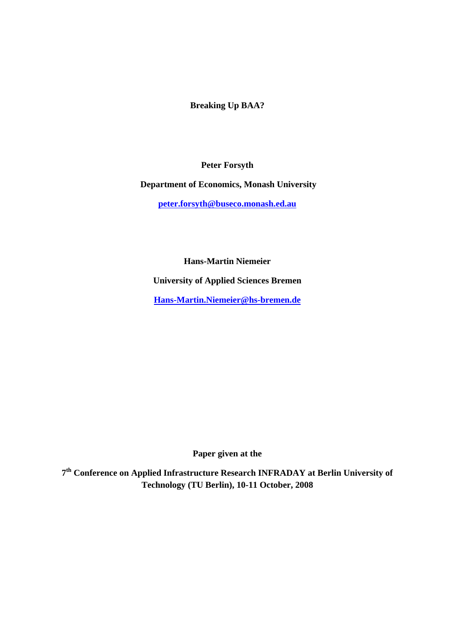**Breaking Up BAA?** 

**Peter Forsyth** 

 **Department of Economics, Monash University** 

**peter.forsyth@buseco.monash.ed.au**

**Hans-Martin Niemeier University of Applied Sciences Bremen Hans-Martin.Niemeier@hs-bremen.de**

**Paper given at the** 

**7th Conference on Applied Infrastructure Research INFRADAY at Berlin University of Technology (TU Berlin), 10-11 October, 2008**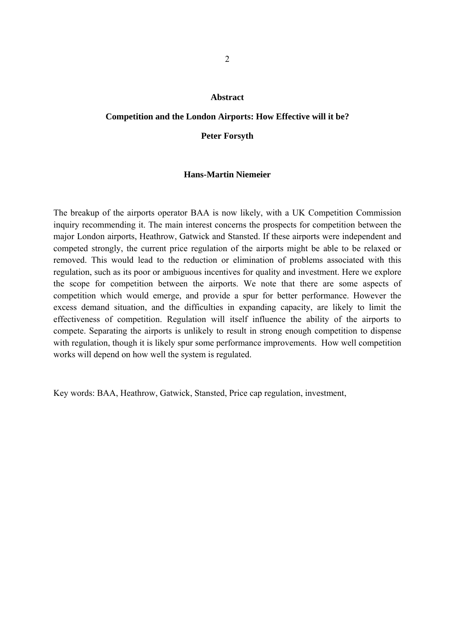#### **Abstract**

#### **Competition and the London Airports: How Effective will it be?**

#### **Peter Forsyth**

#### **Hans-Martin Niemeier**

The breakup of the airports operator BAA is now likely, with a UK Competition Commission inquiry recommending it. The main interest concerns the prospects for competition between the major London airports, Heathrow, Gatwick and Stansted. If these airports were independent and competed strongly, the current price regulation of the airports might be able to be relaxed or removed. This would lead to the reduction or elimination of problems associated with this regulation, such as its poor or ambiguous incentives for quality and investment. Here we explore the scope for competition between the airports. We note that there are some aspects of competition which would emerge, and provide a spur for better performance. However the excess demand situation, and the difficulties in expanding capacity, are likely to limit the effectiveness of competition. Regulation will itself influence the ability of the airports to compete. Separating the airports is unlikely to result in strong enough competition to dispense with regulation, though it is likely spur some performance improvements. How well competition works will depend on how well the system is regulated.

Key words: BAA, Heathrow, Gatwick, Stansted, Price cap regulation, investment,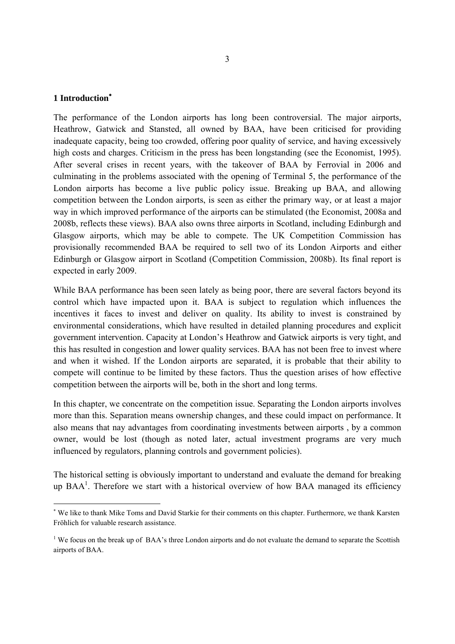## **1 Introduction**<sup>∗</sup>

-

The performance of the London airports has long been controversial. The major airports, Heathrow, Gatwick and Stansted, all owned by BAA, have been criticised for providing inadequate capacity, being too crowded, offering poor quality of service, and having excessively high costs and charges. Criticism in the press has been longstanding (see the Economist, 1995). After several crises in recent years, with the takeover of BAA by Ferrovial in 2006 and culminating in the problems associated with the opening of Terminal 5, the performance of the London airports has become a live public policy issue. Breaking up BAA, and allowing competition between the London airports, is seen as either the primary way, or at least a major way in which improved performance of the airports can be stimulated (the Economist, 2008a and 2008b, reflects these views). BAA also owns three airports in Scotland, including Edinburgh and Glasgow airports, which may be able to compete. The UK Competition Commission has provisionally recommended BAA be required to sell two of its London Airports and either Edinburgh or Glasgow airport in Scotland (Competition Commission, 2008b). Its final report is expected in early 2009.

While BAA performance has been seen lately as being poor, there are several factors beyond its control which have impacted upon it. BAA is subject to regulation which influences the incentives it faces to invest and deliver on quality. Its ability to invest is constrained by environmental considerations, which have resulted in detailed planning procedures and explicit government intervention. Capacity at London's Heathrow and Gatwick airports is very tight, and this has resulted in congestion and lower quality services. BAA has not been free to invest where and when it wished. If the London airports are separated, it is probable that their ability to compete will continue to be limited by these factors. Thus the question arises of how effective competition between the airports will be, both in the short and long terms.

In this chapter, we concentrate on the competition issue. Separating the London airports involves more than this. Separation means ownership changes, and these could impact on performance. It also means that nay advantages from coordinating investments between airports , by a common owner, would be lost (though as noted later, actual investment programs are very much influenced by regulators, planning controls and government policies).

The historical setting is obviously important to understand and evaluate the demand for breaking up  $BAA<sup>1</sup>$ . Therefore we start with a historical overview of how BAA managed its efficiency

<sup>∗</sup> We like to thank Mike Toms and David Starkie for their comments on this chapter. Furthermore, we thank Karsten Fröhlich for valuable research assistance.

<sup>&</sup>lt;sup>1</sup> We focus on the break up of BAA's three London airports and do not evaluate the demand to separate the Scottish airports of BAA.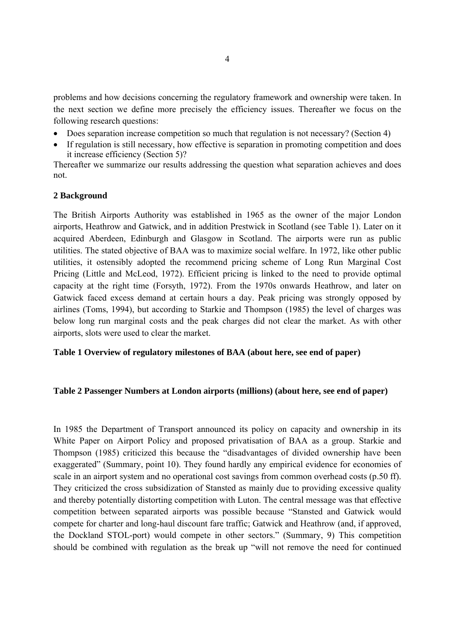problems and how decisions concerning the regulatory framework and ownership were taken. In the next section we define more precisely the efficiency issues. Thereafter we focus on the following research questions:

- Does separation increase competition so much that regulation is not necessary? (Section 4)
- If regulation is still necessary, how effective is separation in promoting competition and does it increase efficiency (Section 5)?

Thereafter we summarize our results addressing the question what separation achieves and does not.

#### **2 Background**

The British Airports Authority was established in 1965 as the owner of the major London airports, Heathrow and Gatwick, and in addition Prestwick in Scotland (see Table 1). Later on it acquired Aberdeen, Edinburgh and Glasgow in Scotland. The airports were run as public utilities. The stated objective of BAA was to maximize social welfare. In 1972, like other public utilities, it ostensibly adopted the recommend pricing scheme of Long Run Marginal Cost Pricing (Little and McLeod, 1972). Efficient pricing is linked to the need to provide optimal capacity at the right time (Forsyth, 1972). From the 1970s onwards Heathrow, and later on Gatwick faced excess demand at certain hours a day. Peak pricing was strongly opposed by airlines (Toms, 1994), but according to Starkie and Thompson (1985) the level of charges was below long run marginal costs and the peak charges did not clear the market. As with other airports, slots were used to clear the market.

**Table 1 Overview of regulatory milestones of BAA (about here, see end of paper)** 

## **Table 2 Passenger Numbers at London airports (millions) (about here, see end of paper)**

In 1985 the Department of Transport announced its policy on capacity and ownership in its White Paper on Airport Policy and proposed privatisation of BAA as a group. Starkie and Thompson (1985) criticized this because the "disadvantages of divided ownership have been exaggerated" (Summary, point 10). They found hardly any empirical evidence for economies of scale in an airport system and no operational cost savings from common overhead costs (p.50 ff). They criticized the cross subsidization of Stansted as mainly due to providing excessive quality and thereby potentially distorting competition with Luton. The central message was that effective competition between separated airports was possible because "Stansted and Gatwick would compete for charter and long-haul discount fare traffic; Gatwick and Heathrow (and, if approved, the Dockland STOL-port) would compete in other sectors." (Summary, 9) This competition should be combined with regulation as the break up "will not remove the need for continued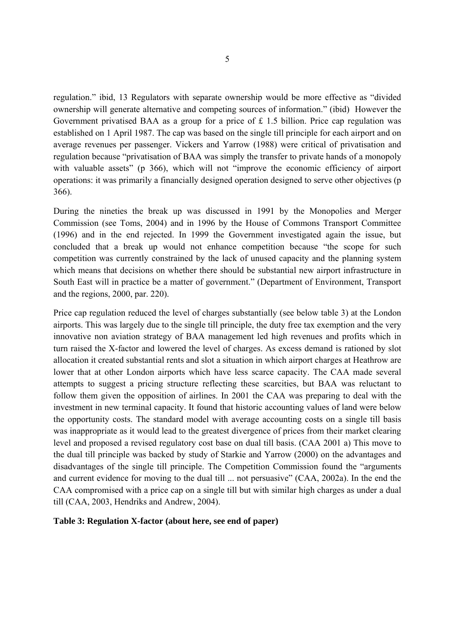regulation." ibid, 13 Regulators with separate ownership would be more effective as "divided ownership will generate alternative and competing sources of information." (ibid) However the Government privatised BAA as a group for a price of £ 1.5 billion. Price cap regulation was established on 1 April 1987. The cap was based on the single till principle for each airport and on average revenues per passenger. Vickers and Yarrow (1988) were critical of privatisation and regulation because "privatisation of BAA was simply the transfer to private hands of a monopoly with valuable assets" (p 366), which will not "improve the economic efficiency of airport operations: it was primarily a financially designed operation designed to serve other objectives (p 366).

During the nineties the break up was discussed in 1991 by the Monopolies and Merger Commission (see Toms, 2004) and in 1996 by the House of Commons Transport Committee (1996) and in the end rejected. In 1999 the Government investigated again the issue, but concluded that a break up would not enhance competition because "the scope for such competition was currently constrained by the lack of unused capacity and the planning system which means that decisions on whether there should be substantial new airport infrastructure in South East will in practice be a matter of government." (Department of Environment, Transport and the regions, 2000, par. 220).

Price cap regulation reduced the level of charges substantially (see below table 3) at the London airports. This was largely due to the single till principle, the duty free tax exemption and the very innovative non aviation strategy of BAA management led high revenues and profits which in turn raised the X-factor and lowered the level of charges. As excess demand is rationed by slot allocation it created substantial rents and slot a situation in which airport charges at Heathrow are lower that at other London airports which have less scarce capacity. The CAA made several attempts to suggest a pricing structure reflecting these scarcities, but BAA was reluctant to follow them given the opposition of airlines. In 2001 the CAA was preparing to deal with the investment in new terminal capacity. It found that historic accounting values of land were below the opportunity costs. The standard model with average accounting costs on a single till basis was inappropriate as it would lead to the greatest divergence of prices from their market clearing level and proposed a revised regulatory cost base on dual till basis. (CAA 2001 a) This move to the dual till principle was backed by study of Starkie and Yarrow (2000) on the advantages and disadvantages of the single till principle. The Competition Commission found the "arguments and current evidence for moving to the dual till ... not persuasive" (CAA, 2002a). In the end the CAA compromised with a price cap on a single till but with similar high charges as under a dual till (CAA, 2003, Hendriks and Andrew, 2004).

#### **Table 3: Regulation X-factor (about here, see end of paper)**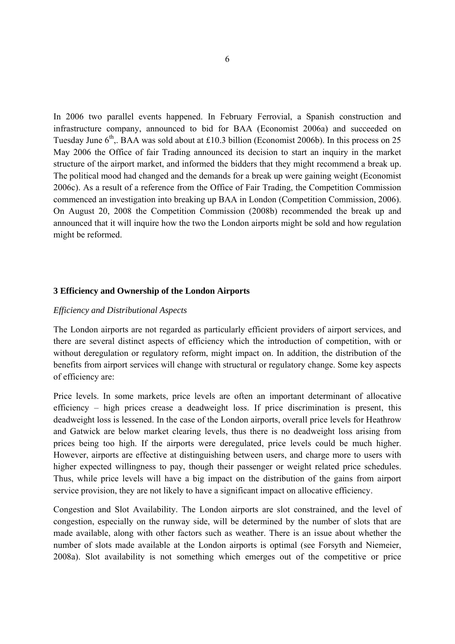In 2006 two parallel events happened. In February Ferrovial, a Spanish construction and infrastructure company, announced to bid for BAA (Economist 2006a) and succeeded on Tuesday June  $6<sup>th</sup>$ ,. BAA was sold about at £10.3 billion (Economist 2006b). In this process on 25 May 2006 the Office of fair Trading announced its decision to start an inquiry in the market structure of the airport market, and informed the bidders that they might recommend a break up. The political mood had changed and the demands for a break up were gaining weight (Economist 2006c). As a result of a reference from the Office of Fair Trading, the Competition Commission commenced an investigation into breaking up BAA in London (Competition Commission, 2006). On August 20, 2008 the Competition Commission (2008b) recommended the break up and announced that it will inquire how the two the London airports might be sold and how regulation might be reformed.

#### **3 Efficiency and Ownership of the London Airports**

#### *Efficiency and Distributional Aspects*

The London airports are not regarded as particularly efficient providers of airport services, and there are several distinct aspects of efficiency which the introduction of competition, with or without deregulation or regulatory reform, might impact on. In addition, the distribution of the benefits from airport services will change with structural or regulatory change. Some key aspects of efficiency are:

Price levels. In some markets, price levels are often an important determinant of allocative efficiency – high prices crease a deadweight loss. If price discrimination is present, this deadweight loss is lessened. In the case of the London airports, overall price levels for Heathrow and Gatwick are below market clearing levels, thus there is no deadweight loss arising from prices being too high. If the airports were deregulated, price levels could be much higher. However, airports are effective at distinguishing between users, and charge more to users with higher expected willingness to pay, though their passenger or weight related price schedules. Thus, while price levels will have a big impact on the distribution of the gains from airport service provision, they are not likely to have a significant impact on allocative efficiency.

Congestion and Slot Availability. The London airports are slot constrained, and the level of congestion, especially on the runway side, will be determined by the number of slots that are made available, along with other factors such as weather. There is an issue about whether the number of slots made available at the London airports is optimal (see Forsyth and Niemeier, 2008a). Slot availability is not something which emerges out of the competitive or price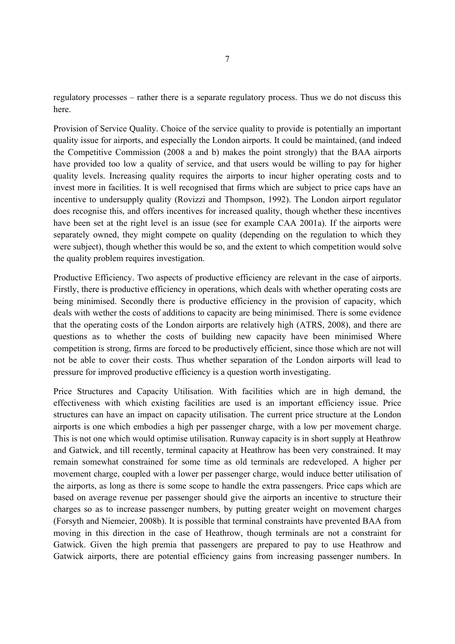regulatory processes – rather there is a separate regulatory process. Thus we do not discuss this here.

Provision of Service Quality. Choice of the service quality to provide is potentially an important quality issue for airports, and especially the London airports. It could be maintained, (and indeed the Competitive Commission (2008 a and b) makes the point strongly) that the BAA airports have provided too low a quality of service, and that users would be willing to pay for higher quality levels. Increasing quality requires the airports to incur higher operating costs and to invest more in facilities. It is well recognised that firms which are subject to price caps have an incentive to undersupply quality (Rovizzi and Thompson, 1992). The London airport regulator does recognise this, and offers incentives for increased quality, though whether these incentives have been set at the right level is an issue (see for example CAA 2001a). If the airports were separately owned, they might compete on quality (depending on the regulation to which they were subject), though whether this would be so, and the extent to which competition would solve the quality problem requires investigation.

Productive Efficiency. Two aspects of productive efficiency are relevant in the case of airports. Firstly, there is productive efficiency in operations, which deals with whether operating costs are being minimised. Secondly there is productive efficiency in the provision of capacity, which deals with wether the costs of additions to capacity are being minimised. There is some evidence that the operating costs of the London airports are relatively high (ATRS, 2008), and there are questions as to whether the costs of building new capacity have been minimised Where competition is strong, firms are forced to be productively efficient, since those which are not will not be able to cover their costs. Thus whether separation of the London airports will lead to pressure for improved productive efficiency is a question worth investigating.

Price Structures and Capacity Utilisation. With facilities which are in high demand, the effectiveness with which existing facilities are used is an important efficiency issue. Price structures can have an impact on capacity utilisation. The current price structure at the London airports is one which embodies a high per passenger charge, with a low per movement charge. This is not one which would optimise utilisation. Runway capacity is in short supply at Heathrow and Gatwick, and till recently, terminal capacity at Heathrow has been very constrained. It may remain somewhat constrained for some time as old terminals are redeveloped. A higher per movement charge, coupled with a lower per passenger charge, would induce better utilisation of the airports, as long as there is some scope to handle the extra passengers. Price caps which are based on average revenue per passenger should give the airports an incentive to structure their charges so as to increase passenger numbers, by putting greater weight on movement charges (Forsyth and Niemeier, 2008b). It is possible that terminal constraints have prevented BAA from moving in this direction in the case of Heathrow, though terminals are not a constraint for Gatwick. Given the high premia that passengers are prepared to pay to use Heathrow and Gatwick airports, there are potential efficiency gains from increasing passenger numbers. In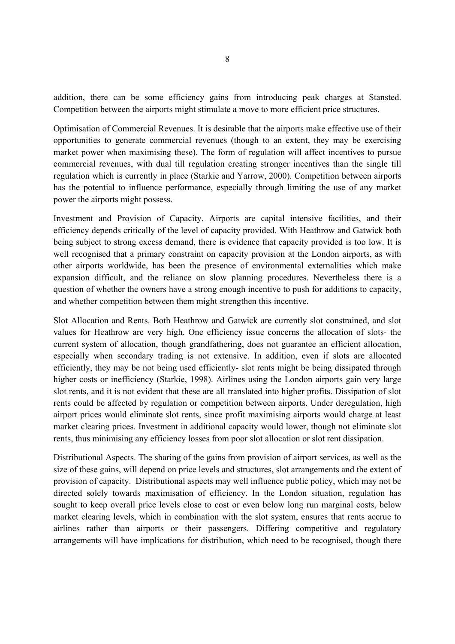addition, there can be some efficiency gains from introducing peak charges at Stansted. Competition between the airports might stimulate a move to more efficient price structures.

Optimisation of Commercial Revenues. It is desirable that the airports make effective use of their opportunities to generate commercial revenues (though to an extent, they may be exercising market power when maximising these). The form of regulation will affect incentives to pursue commercial revenues, with dual till regulation creating stronger incentives than the single till regulation which is currently in place (Starkie and Yarrow, 2000). Competition between airports has the potential to influence performance, especially through limiting the use of any market power the airports might possess.

Investment and Provision of Capacity. Airports are capital intensive facilities, and their efficiency depends critically of the level of capacity provided. With Heathrow and Gatwick both being subject to strong excess demand, there is evidence that capacity provided is too low. It is well recognised that a primary constraint on capacity provision at the London airports, as with other airports worldwide, has been the presence of environmental externalities which make expansion difficult, and the reliance on slow planning procedures. Nevertheless there is a question of whether the owners have a strong enough incentive to push for additions to capacity, and whether competition between them might strengthen this incentive.

Slot Allocation and Rents. Both Heathrow and Gatwick are currently slot constrained, and slot values for Heathrow are very high. One efficiency issue concerns the allocation of slots- the current system of allocation, though grandfathering, does not guarantee an efficient allocation, especially when secondary trading is not extensive. In addition, even if slots are allocated efficiently, they may be not being used efficiently- slot rents might be being dissipated through higher costs or inefficiency (Starkie, 1998). Airlines using the London airports gain very large slot rents, and it is not evident that these are all translated into higher profits. Dissipation of slot rents could be affected by regulation or competition between airports. Under deregulation, high airport prices would eliminate slot rents, since profit maximising airports would charge at least market clearing prices. Investment in additional capacity would lower, though not eliminate slot rents, thus minimising any efficiency losses from poor slot allocation or slot rent dissipation.

Distributional Aspects. The sharing of the gains from provision of airport services, as well as the size of these gains, will depend on price levels and structures, slot arrangements and the extent of provision of capacity. Distributional aspects may well influence public policy, which may not be directed solely towards maximisation of efficiency. In the London situation, regulation has sought to keep overall price levels close to cost or even below long run marginal costs, below market clearing levels, which in combination with the slot system, ensures that rents accrue to airlines rather than airports or their passengers. Differing competitive and regulatory arrangements will have implications for distribution, which need to be recognised, though there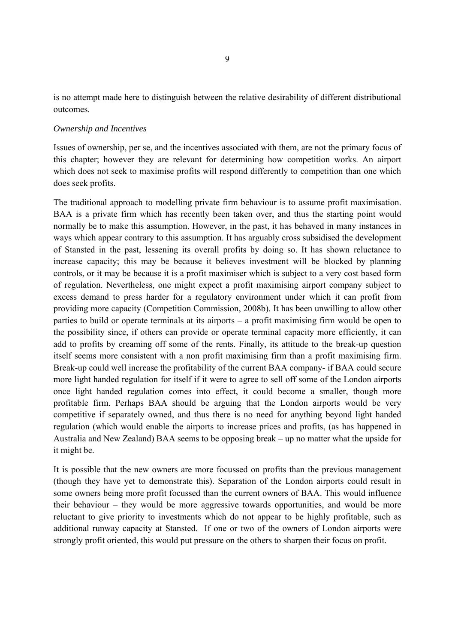is no attempt made here to distinguish between the relative desirability of different distributional outcomes.

#### *Ownership and Incentives*

Issues of ownership, per se, and the incentives associated with them, are not the primary focus of this chapter; however they are relevant for determining how competition works. An airport which does not seek to maximise profits will respond differently to competition than one which does seek profits.

The traditional approach to modelling private firm behaviour is to assume profit maximisation. BAA is a private firm which has recently been taken over, and thus the starting point would normally be to make this assumption. However, in the past, it has behaved in many instances in ways which appear contrary to this assumption. It has arguably cross subsidised the development of Stansted in the past, lessening its overall profits by doing so. It has shown reluctance to increase capacity; this may be because it believes investment will be blocked by planning controls, or it may be because it is a profit maximiser which is subject to a very cost based form of regulation. Nevertheless, one might expect a profit maximising airport company subject to excess demand to press harder for a regulatory environment under which it can profit from providing more capacity (Competition Commission, 2008b). It has been unwilling to allow other parties to build or operate terminals at its airports – a profit maximising firm would be open to the possibility since, if others can provide or operate terminal capacity more efficiently, it can add to profits by creaming off some of the rents. Finally, its attitude to the break-up question itself seems more consistent with a non profit maximising firm than a profit maximising firm. Break-up could well increase the profitability of the current BAA company- if BAA could secure more light handed regulation for itself if it were to agree to sell off some of the London airports once light handed regulation comes into effect, it could become a smaller, though more profitable firm. Perhaps BAA should be arguing that the London airports would be very competitive if separately owned, and thus there is no need for anything beyond light handed regulation (which would enable the airports to increase prices and profits, (as has happened in Australia and New Zealand) BAA seems to be opposing break – up no matter what the upside for it might be.

It is possible that the new owners are more focussed on profits than the previous management (though they have yet to demonstrate this). Separation of the London airports could result in some owners being more profit focussed than the current owners of BAA. This would influence their behaviour – they would be more aggressive towards opportunities, and would be more reluctant to give priority to investments which do not appear to be highly profitable, such as additional runway capacity at Stansted. If one or two of the owners of London airports were strongly profit oriented, this would put pressure on the others to sharpen their focus on profit.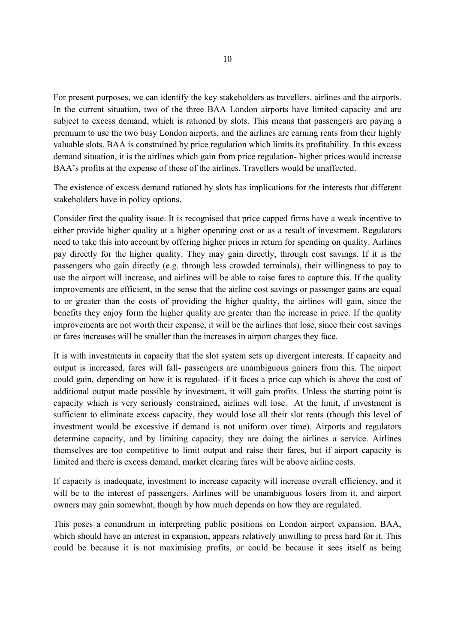For present purposes, we can identify the key stakeholders as travellers, airlines and the airports. In the current situation, two of the three BAA London airports have limited capacity and are subject to excess demand, which is rationed by slots. This means that passengers are paying a premium to use the two busy London airports, and the airlines are earning rents from their highly valuable slots. BAA is constrained by price regulation which limits its profitability. In this excess demand situation, it is the airlines which gain from price regulation- higher prices would increase BAA's profits at the expense of these of the airlines. Travellers would be unaffected.

The existence of excess demand rationed by slots has implications for the interests that different stakeholders have in policy options.

Consider first the quality issue. It is recognised that price capped firms have a weak incentive to either provide higher quality at a higher operating cost or as a result of investment. Regulators need to take this into account by offering higher prices in return for spending on quality. Airlines pay directly for the higher quality. They may gain directly, through cost savings. If it is the passengers who gain directly (e.g. through less crowded terminals), their willingness to pay to use the airport will increase, and airlines will be able to raise fares to capture this. If the quality improvements are efficient, in the sense that the airline cost savings or passenger gains are equal to or greater than the costs of providing the higher quality, the airlines will gain, since the benefits they enjoy form the higher quality are greater than the increase in price. If the quality improvements are not worth their expense, it will be the airlines that lose, since their cost savings or fares increases will be smaller than the increases in airport charges they face.

It is with investments in capacity that the slot system sets up divergent interests. If capacity and output is increased, fares will fall- passengers are unambiguous gainers from this. The airport could gain, depending on how it is regulated- if it faces a price cap which is above the cost of additional output made possible by investment, it will gain profits. Unless the starting point is capacity which is very seriously constrained, airlines will lose. At the limit, if investment is sufficient to eliminate excess capacity, they would lose all their slot rents (though this level of investment would be excessive if demand is not uniform over time). Airports and regulators determine capacity, and by limiting capacity, they are doing the airlines a service. Airlines themselves are too competitive to limit output and raise their fares, but if airport capacity is limited and there is excess demand, market clearing fares will be above airline costs.

If capacity is inadequate, investment to increase capacity will increase overall efficiency, and it will be to the interest of passengers. Airlines will be unambiguous losers from it, and airport owners may gain somewhat, though by how much depends on how they are regulated.

This poses a conundrum in interpreting public positions on London airport expansion. BAA, which should have an interest in expansion, appears relatively unwilling to press hard for it. This could be because it is not maximising profits, or could be because it sees itself as being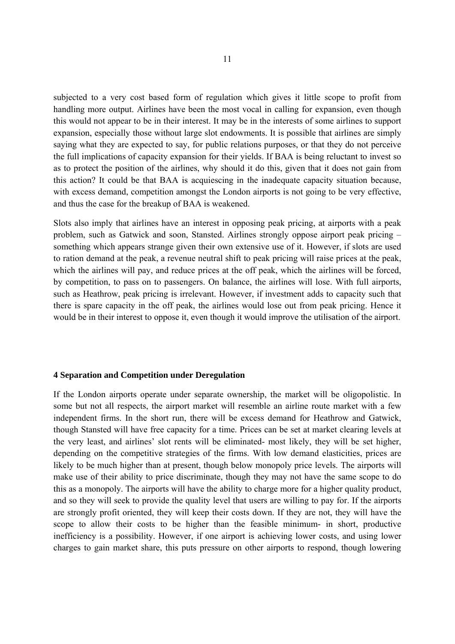subjected to a very cost based form of regulation which gives it little scope to profit from handling more output. Airlines have been the most vocal in calling for expansion, even though this would not appear to be in their interest. It may be in the interests of some airlines to support expansion, especially those without large slot endowments. It is possible that airlines are simply saying what they are expected to say, for public relations purposes, or that they do not perceive the full implications of capacity expansion for their yields. If BAA is being reluctant to invest so as to protect the position of the airlines, why should it do this, given that it does not gain from this action? It could be that BAA is acquiescing in the inadequate capacity situation because, with excess demand, competition amongst the London airports is not going to be very effective, and thus the case for the breakup of BAA is weakened.

Slots also imply that airlines have an interest in opposing peak pricing, at airports with a peak problem, such as Gatwick and soon, Stansted. Airlines strongly oppose airport peak pricing – something which appears strange given their own extensive use of it. However, if slots are used to ration demand at the peak, a revenue neutral shift to peak pricing will raise prices at the peak, which the airlines will pay, and reduce prices at the off peak, which the airlines will be forced, by competition, to pass on to passengers. On balance, the airlines will lose. With full airports, such as Heathrow, peak pricing is irrelevant. However, if investment adds to capacity such that there is spare capacity in the off peak, the airlines would lose out from peak pricing. Hence it would be in their interest to oppose it, even though it would improve the utilisation of the airport.

#### **4 Separation and Competition under Deregulation**

If the London airports operate under separate ownership, the market will be oligopolistic. In some but not all respects, the airport market will resemble an airline route market with a few independent firms. In the short run, there will be excess demand for Heathrow and Gatwick, though Stansted will have free capacity for a time. Prices can be set at market clearing levels at the very least, and airlines' slot rents will be eliminated- most likely, they will be set higher, depending on the competitive strategies of the firms. With low demand elasticities, prices are likely to be much higher than at present, though below monopoly price levels. The airports will make use of their ability to price discriminate, though they may not have the same scope to do this as a monopoly. The airports will have the ability to charge more for a higher quality product, and so they will seek to provide the quality level that users are willing to pay for. If the airports are strongly profit oriented, they will keep their costs down. If they are not, they will have the scope to allow their costs to be higher than the feasible minimum- in short, productive inefficiency is a possibility. However, if one airport is achieving lower costs, and using lower charges to gain market share, this puts pressure on other airports to respond, though lowering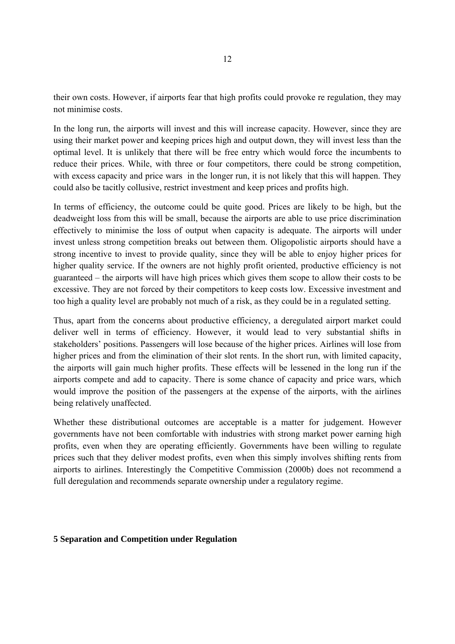their own costs. However, if airports fear that high profits could provoke re regulation, they may not minimise costs.

In the long run, the airports will invest and this will increase capacity. However, since they are using their market power and keeping prices high and output down, they will invest less than the optimal level. It is unlikely that there will be free entry which would force the incumbents to reduce their prices. While, with three or four competitors, there could be strong competition, with excess capacity and price wars in the longer run, it is not likely that this will happen. They could also be tacitly collusive, restrict investment and keep prices and profits high.

In terms of efficiency, the outcome could be quite good. Prices are likely to be high, but the deadweight loss from this will be small, because the airports are able to use price discrimination effectively to minimise the loss of output when capacity is adequate. The airports will under invest unless strong competition breaks out between them. Oligopolistic airports should have a strong incentive to invest to provide quality, since they will be able to enjoy higher prices for higher quality service. If the owners are not highly profit oriented, productive efficiency is not guaranteed – the airports will have high prices which gives them scope to allow their costs to be excessive. They are not forced by their competitors to keep costs low. Excessive investment and too high a quality level are probably not much of a risk, as they could be in a regulated setting.

Thus, apart from the concerns about productive efficiency, a deregulated airport market could deliver well in terms of efficiency. However, it would lead to very substantial shifts in stakeholders' positions. Passengers will lose because of the higher prices. Airlines will lose from higher prices and from the elimination of their slot rents. In the short run, with limited capacity, the airports will gain much higher profits. These effects will be lessened in the long run if the airports compete and add to capacity. There is some chance of capacity and price wars, which would improve the position of the passengers at the expense of the airports, with the airlines being relatively unaffected.

Whether these distributional outcomes are acceptable is a matter for judgement. However governments have not been comfortable with industries with strong market power earning high profits, even when they are operating efficiently. Governments have been willing to regulate prices such that they deliver modest profits, even when this simply involves shifting rents from airports to airlines. Interestingly the Competitive Commission (2000b) does not recommend a full deregulation and recommends separate ownership under a regulatory regime.

#### **5 Separation and Competition under Regulation**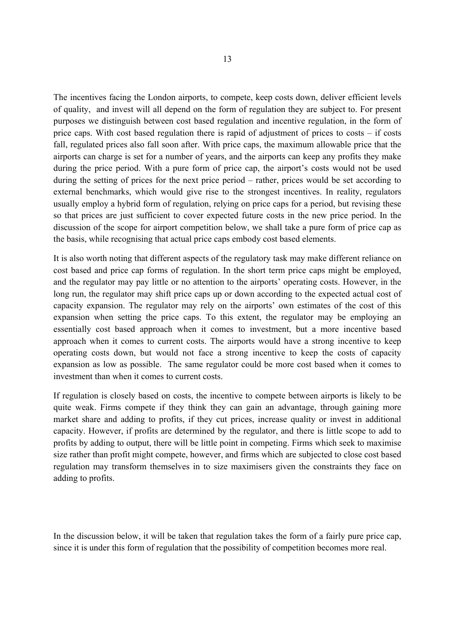The incentives facing the London airports, to compete, keep costs down, deliver efficient levels of quality, and invest will all depend on the form of regulation they are subject to. For present purposes we distinguish between cost based regulation and incentive regulation, in the form of price caps. With cost based regulation there is rapid of adjustment of prices to costs – if costs fall, regulated prices also fall soon after. With price caps, the maximum allowable price that the airports can charge is set for a number of years, and the airports can keep any profits they make during the price period. With a pure form of price cap, the airport's costs would not be used during the setting of prices for the next price period – rather, prices would be set according to external benchmarks, which would give rise to the strongest incentives. In reality, regulators usually employ a hybrid form of regulation, relying on price caps for a period, but revising these so that prices are just sufficient to cover expected future costs in the new price period. In the discussion of the scope for airport competition below, we shall take a pure form of price cap as the basis, while recognising that actual price caps embody cost based elements.

It is also worth noting that different aspects of the regulatory task may make different reliance on cost based and price cap forms of regulation. In the short term price caps might be employed, and the regulator may pay little or no attention to the airports' operating costs. However, in the long run, the regulator may shift price caps up or down according to the expected actual cost of capacity expansion. The regulator may rely on the airports' own estimates of the cost of this expansion when setting the price caps. To this extent, the regulator may be employing an essentially cost based approach when it comes to investment, but a more incentive based approach when it comes to current costs. The airports would have a strong incentive to keep operating costs down, but would not face a strong incentive to keep the costs of capacity expansion as low as possible. The same regulator could be more cost based when it comes to investment than when it comes to current costs.

If regulation is closely based on costs, the incentive to compete between airports is likely to be quite weak. Firms compete if they think they can gain an advantage, through gaining more market share and adding to profits, if they cut prices, increase quality or invest in additional capacity. However, if profits are determined by the regulator, and there is little scope to add to profits by adding to output, there will be little point in competing. Firms which seek to maximise size rather than profit might compete, however, and firms which are subjected to close cost based regulation may transform themselves in to size maximisers given the constraints they face on adding to profits.

In the discussion below, it will be taken that regulation takes the form of a fairly pure price cap, since it is under this form of regulation that the possibility of competition becomes more real.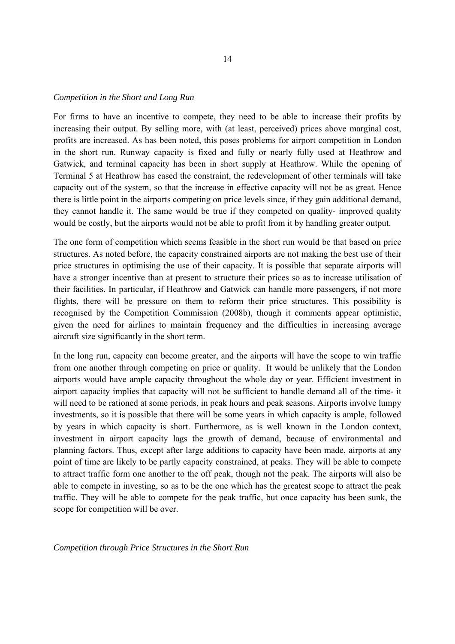#### *Competition in the Short and Long Run*

For firms to have an incentive to compete, they need to be able to increase their profits by increasing their output. By selling more, with (at least, perceived) prices above marginal cost, profits are increased. As has been noted, this poses problems for airport competition in London in the short run. Runway capacity is fixed and fully or nearly fully used at Heathrow and Gatwick, and terminal capacity has been in short supply at Heathrow. While the opening of Terminal 5 at Heathrow has eased the constraint, the redevelopment of other terminals will take capacity out of the system, so that the increase in effective capacity will not be as great. Hence there is little point in the airports competing on price levels since, if they gain additional demand, they cannot handle it. The same would be true if they competed on quality- improved quality would be costly, but the airports would not be able to profit from it by handling greater output.

The one form of competition which seems feasible in the short run would be that based on price structures. As noted before, the capacity constrained airports are not making the best use of their price structures in optimising the use of their capacity. It is possible that separate airports will have a stronger incentive than at present to structure their prices so as to increase utilisation of their facilities. In particular, if Heathrow and Gatwick can handle more passengers, if not more flights, there will be pressure on them to reform their price structures. This possibility is recognised by the Competition Commission (2008b), though it comments appear optimistic, given the need for airlines to maintain frequency and the difficulties in increasing average aircraft size significantly in the short term.

In the long run, capacity can become greater, and the airports will have the scope to win traffic from one another through competing on price or quality. It would be unlikely that the London airports would have ample capacity throughout the whole day or year. Efficient investment in airport capacity implies that capacity will not be sufficient to handle demand all of the time- it will need to be rationed at some periods, in peak hours and peak seasons. Airports involve lumpy investments, so it is possible that there will be some years in which capacity is ample, followed by years in which capacity is short. Furthermore, as is well known in the London context, investment in airport capacity lags the growth of demand, because of environmental and planning factors. Thus, except after large additions to capacity have been made, airports at any point of time are likely to be partly capacity constrained, at peaks. They will be able to compete to attract traffic form one another to the off peak, though not the peak. The airports will also be able to compete in investing, so as to be the one which has the greatest scope to attract the peak traffic. They will be able to compete for the peak traffic, but once capacity has been sunk, the scope for competition will be over.

*Competition through Price Structures in the Short Run*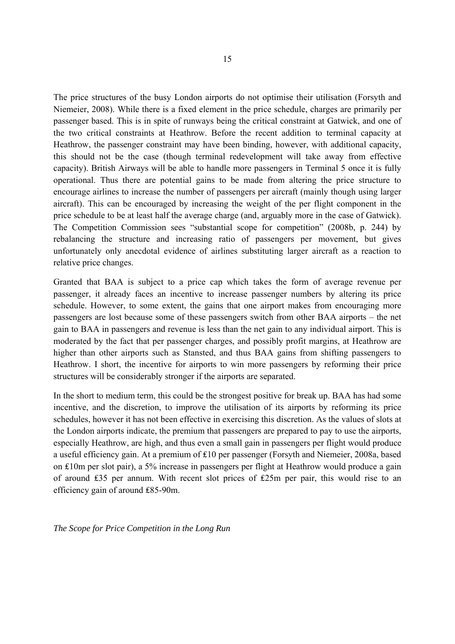The price structures of the busy London airports do not optimise their utilisation (Forsyth and Niemeier, 2008). While there is a fixed element in the price schedule, charges are primarily per passenger based. This is in spite of runways being the critical constraint at Gatwick, and one of the two critical constraints at Heathrow. Before the recent addition to terminal capacity at Heathrow, the passenger constraint may have been binding, however, with additional capacity, this should not be the case (though terminal redevelopment will take away from effective capacity). British Airways will be able to handle more passengers in Terminal 5 once it is fully operational. Thus there are potential gains to be made from altering the price structure to encourage airlines to increase the number of passengers per aircraft (mainly though using larger aircraft). This can be encouraged by increasing the weight of the per flight component in the price schedule to be at least half the average charge (and, arguably more in the case of Gatwick). The Competition Commission sees "substantial scope for competition" (2008b, p. 244) by rebalancing the structure and increasing ratio of passengers per movement, but gives unfortunately only anecdotal evidence of airlines substituting larger aircraft as a reaction to relative price changes.

Granted that BAA is subject to a price cap which takes the form of average revenue per passenger, it already faces an incentive to increase passenger numbers by altering its price schedule. However, to some extent, the gains that one airport makes from encouraging more passengers are lost because some of these passengers switch from other BAA airports – the net gain to BAA in passengers and revenue is less than the net gain to any individual airport. This is moderated by the fact that per passenger charges, and possibly profit margins, at Heathrow are higher than other airports such as Stansted, and thus BAA gains from shifting passengers to Heathrow. I short, the incentive for airports to win more passengers by reforming their price structures will be considerably stronger if the airports are separated.

In the short to medium term, this could be the strongest positive for break up. BAA has had some incentive, and the discretion, to improve the utilisation of its airports by reforming its price schedules, however it has not been effective in exercising this discretion. As the values of slots at the London airports indicate, the premium that passengers are prepared to pay to use the airports, especially Heathrow, are high, and thus even a small gain in passengers per flight would produce a useful efficiency gain. At a premium of ₤10 per passenger (Forsyth and Niemeier, 2008a, based on ₤10m per slot pair), a 5% increase in passengers per flight at Heathrow would produce a gain of around ₤35 per annum. With recent slot prices of ₤25m per pair, this would rise to an efficiency gain of around ₤85-90m.

*The Scope for Price Competition in the Long Run*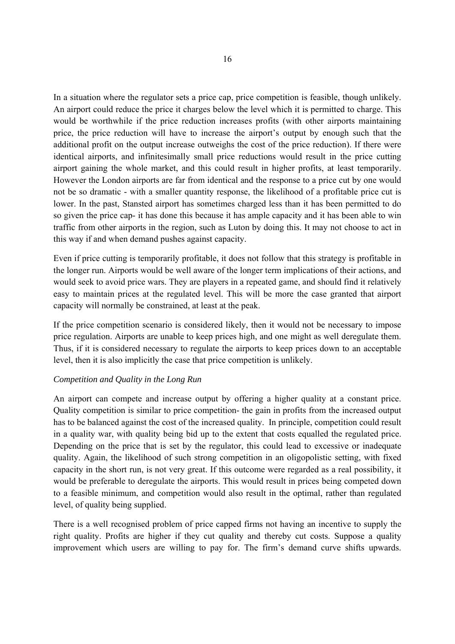In a situation where the regulator sets a price cap, price competition is feasible, though unlikely. An airport could reduce the price it charges below the level which it is permitted to charge. This would be worthwhile if the price reduction increases profits (with other airports maintaining price, the price reduction will have to increase the airport's output by enough such that the additional profit on the output increase outweighs the cost of the price reduction). If there were identical airports, and infinitesimally small price reductions would result in the price cutting airport gaining the whole market, and this could result in higher profits, at least temporarily. However the London airports are far from identical and the response to a price cut by one would not be so dramatic - with a smaller quantity response, the likelihood of a profitable price cut is lower. In the past, Stansted airport has sometimes charged less than it has been permitted to do so given the price cap- it has done this because it has ample capacity and it has been able to win traffic from other airports in the region, such as Luton by doing this. It may not choose to act in this way if and when demand pushes against capacity.

Even if price cutting is temporarily profitable, it does not follow that this strategy is profitable in the longer run. Airports would be well aware of the longer term implications of their actions, and would seek to avoid price wars. They are players in a repeated game, and should find it relatively easy to maintain prices at the regulated level. This will be more the case granted that airport capacity will normally be constrained, at least at the peak.

If the price competition scenario is considered likely, then it would not be necessary to impose price regulation. Airports are unable to keep prices high, and one might as well deregulate them. Thus, if it is considered necessary to regulate the airports to keep prices down to an acceptable level, then it is also implicitly the case that price competition is unlikely.

## *Competition and Quality in the Long Run*

An airport can compete and increase output by offering a higher quality at a constant price. Quality competition is similar to price competition- the gain in profits from the increased output has to be balanced against the cost of the increased quality. In principle, competition could result in a quality war, with quality being bid up to the extent that costs equalled the regulated price. Depending on the price that is set by the regulator, this could lead to excessive or inadequate quality. Again, the likelihood of such strong competition in an oligopolistic setting, with fixed capacity in the short run, is not very great. If this outcome were regarded as a real possibility, it would be preferable to deregulate the airports. This would result in prices being competed down to a feasible minimum, and competition would also result in the optimal, rather than regulated level, of quality being supplied.

There is a well recognised problem of price capped firms not having an incentive to supply the right quality. Profits are higher if they cut quality and thereby cut costs. Suppose a quality improvement which users are willing to pay for. The firm's demand curve shifts upwards.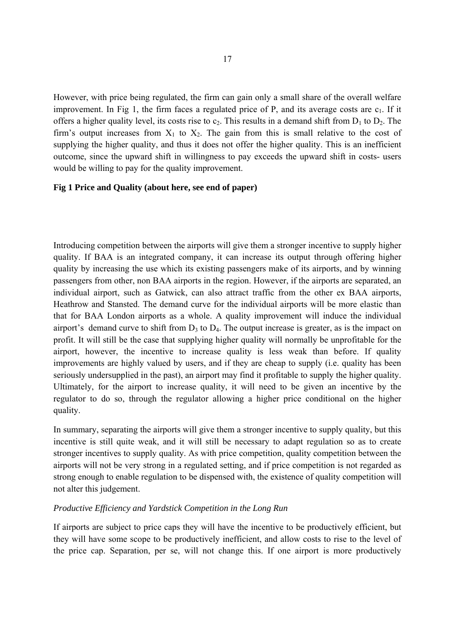However, with price being regulated, the firm can gain only a small share of the overall welfare improvement. In Fig 1, the firm faces a regulated price of P, and its average costs are  $c_1$ . If it offers a higher quality level, its costs rise to  $c_2$ . This results in a demand shift from  $D_1$  to  $D_2$ . The firm's output increases from  $X_1$  to  $X_2$ . The gain from this is small relative to the cost of supplying the higher quality, and thus it does not offer the higher quality. This is an inefficient outcome, since the upward shift in willingness to pay exceeds the upward shift in costs- users would be willing to pay for the quality improvement.

#### **Fig 1 Price and Quality (about here, see end of paper)**

Introducing competition between the airports will give them a stronger incentive to supply higher quality. If BAA is an integrated company, it can increase its output through offering higher quality by increasing the use which its existing passengers make of its airports, and by winning passengers from other, non BAA airports in the region. However, if the airports are separated, an individual airport, such as Gatwick, can also attract traffic from the other ex BAA airports, Heathrow and Stansted. The demand curve for the individual airports will be more elastic than that for BAA London airports as a whole. A quality improvement will induce the individual airport's demand curve to shift from  $D_3$  to  $D_4$ . The output increase is greater, as is the impact on profit. It will still be the case that supplying higher quality will normally be unprofitable for the airport, however, the incentive to increase quality is less weak than before. If quality improvements are highly valued by users, and if they are cheap to supply (i.e. quality has been seriously undersupplied in the past), an airport may find it profitable to supply the higher quality. Ultimately, for the airport to increase quality, it will need to be given an incentive by the regulator to do so, through the regulator allowing a higher price conditional on the higher quality.

In summary, separating the airports will give them a stronger incentive to supply quality, but this incentive is still quite weak, and it will still be necessary to adapt regulation so as to create stronger incentives to supply quality. As with price competition, quality competition between the airports will not be very strong in a regulated setting, and if price competition is not regarded as strong enough to enable regulation to be dispensed with, the existence of quality competition will not alter this judgement.

#### *Productive Efficiency and Yardstick Competition in the Long Run*

If airports are subject to price caps they will have the incentive to be productively efficient, but they will have some scope to be productively inefficient, and allow costs to rise to the level of the price cap. Separation, per se, will not change this. If one airport is more productively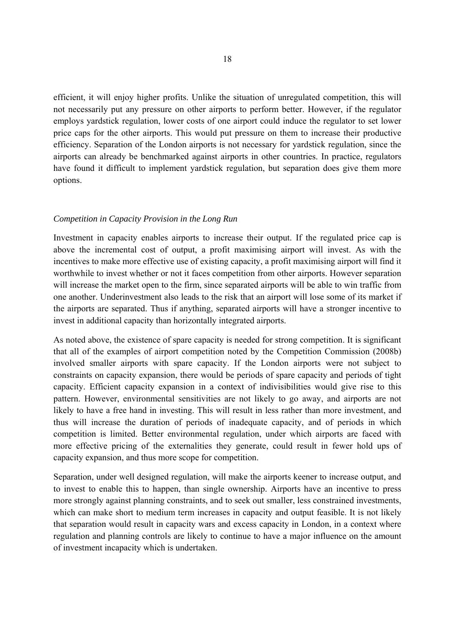efficient, it will enjoy higher profits. Unlike the situation of unregulated competition, this will not necessarily put any pressure on other airports to perform better. However, if the regulator employs yardstick regulation, lower costs of one airport could induce the regulator to set lower price caps for the other airports. This would put pressure on them to increase their productive efficiency. Separation of the London airports is not necessary for yardstick regulation, since the airports can already be benchmarked against airports in other countries. In practice, regulators have found it difficult to implement yardstick regulation, but separation does give them more options.

#### *Competition in Capacity Provision in the Long Run*

Investment in capacity enables airports to increase their output. If the regulated price cap is above the incremental cost of output, a profit maximising airport will invest. As with the incentives to make more effective use of existing capacity, a profit maximising airport will find it worthwhile to invest whether or not it faces competition from other airports. However separation will increase the market open to the firm, since separated airports will be able to win traffic from one another. Underinvestment also leads to the risk that an airport will lose some of its market if the airports are separated. Thus if anything, separated airports will have a stronger incentive to invest in additional capacity than horizontally integrated airports.

As noted above, the existence of spare capacity is needed for strong competition. It is significant that all of the examples of airport competition noted by the Competition Commission (2008b) involved smaller airports with spare capacity. If the London airports were not subject to constraints on capacity expansion, there would be periods of spare capacity and periods of tight capacity. Efficient capacity expansion in a context of indivisibilities would give rise to this pattern. However, environmental sensitivities are not likely to go away, and airports are not likely to have a free hand in investing. This will result in less rather than more investment, and thus will increase the duration of periods of inadequate capacity, and of periods in which competition is limited. Better environmental regulation, under which airports are faced with more effective pricing of the externalities they generate, could result in fewer hold ups of capacity expansion, and thus more scope for competition.

Separation, under well designed regulation, will make the airports keener to increase output, and to invest to enable this to happen, than single ownership. Airports have an incentive to press more strongly against planning constraints, and to seek out smaller, less constrained investments, which can make short to medium term increases in capacity and output feasible. It is not likely that separation would result in capacity wars and excess capacity in London, in a context where regulation and planning controls are likely to continue to have a major influence on the amount of investment incapacity which is undertaken.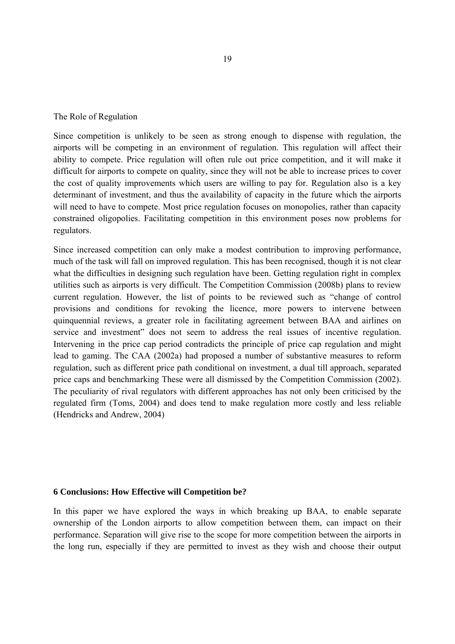#### The Role of Regulation

Since competition is unlikely to be seen as strong enough to dispense with regulation, the airports will be competing in an environment of regulation. This regulation will affect their ability to compete. Price regulation will often rule out price competition, and it will make it difficult for airports to compete on quality, since they will not be able to increase prices to cover the cost of quality improvements which users are willing to pay for. Regulation also is a key determinant of investment, and thus the availability of capacity in the future which the airports will need to have to compete. Most price regulation focuses on monopolies, rather than capacity constrained oligopolies. Facilitating competition in this environment poses now problems for regulators.

Since increased competition can only make a modest contribution to improving performance, much of the task will fall on improved regulation. This has been recognised, though it is not clear what the difficulties in designing such regulation have been. Getting regulation right in complex utilities such as airports is very difficult. The Competition Commission (2008b) plans to review current regulation. However, the list of points to be reviewed such as "change of control provisions and conditions for revoking the licence, more powers to intervene between quinquennial reviews, a greater role in facilitating agreement between BAA and airlines on service and investment" does not seem to address the real issues of incentive regulation. Intervening in the price cap period contradicts the principle of price cap regulation and might lead to gaming. The CAA (2002a) had proposed a number of substantive measures to reform regulation, such as different price path conditional on investment, a dual till approach, separated price caps and benchmarking These were all dismissed by the Competition Commission (2002). The peculiarity of rival regulators with different approaches has not only been criticised by the regulated firm (Toms, 2004) and does tend to make regulation more costly and less reliable (Hendricks and Andrew, 2004)

#### **6 Conclusions: How Effective will Competition be?**

In this paper we have explored the ways in which breaking up BAA, to enable separate ownership of the London airports to allow competition between them, can impact on their performance. Separation will give rise to the scope for more competition between the airports in the long run, especially if they are permitted to invest as they wish and choose their output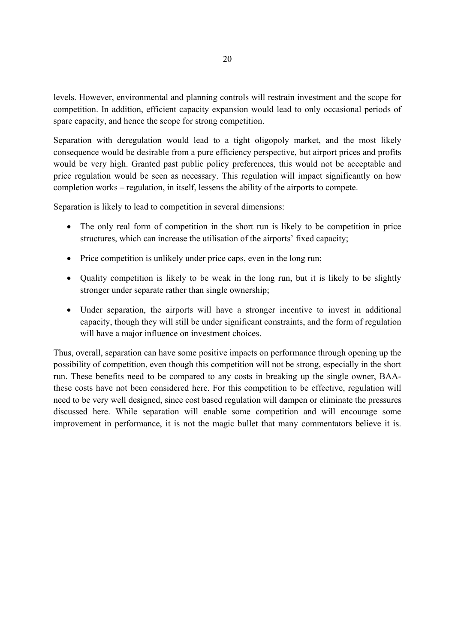levels. However, environmental and planning controls will restrain investment and the scope for competition. In addition, efficient capacity expansion would lead to only occasional periods of spare capacity, and hence the scope for strong competition.

Separation with deregulation would lead to a tight oligopoly market, and the most likely consequence would be desirable from a pure efficiency perspective, but airport prices and profits would be very high. Granted past public policy preferences, this would not be acceptable and price regulation would be seen as necessary. This regulation will impact significantly on how completion works – regulation, in itself, lessens the ability of the airports to compete.

Separation is likely to lead to competition in several dimensions:

- The only real form of competition in the short run is likely to be competition in price structures, which can increase the utilisation of the airports' fixed capacity;
- Price competition is unlikely under price caps, even in the long run;
- Quality competition is likely to be weak in the long run, but it is likely to be slightly stronger under separate rather than single ownership;
- Under separation, the airports will have a stronger incentive to invest in additional capacity, though they will still be under significant constraints, and the form of regulation will have a major influence on investment choices.

Thus, overall, separation can have some positive impacts on performance through opening up the possibility of competition, even though this competition will not be strong, especially in the short run. These benefits need to be compared to any costs in breaking up the single owner, BAAthese costs have not been considered here. For this competition to be effective, regulation will need to be very well designed, since cost based regulation will dampen or eliminate the pressures discussed here. While separation will enable some competition and will encourage some improvement in performance, it is not the magic bullet that many commentators believe it is.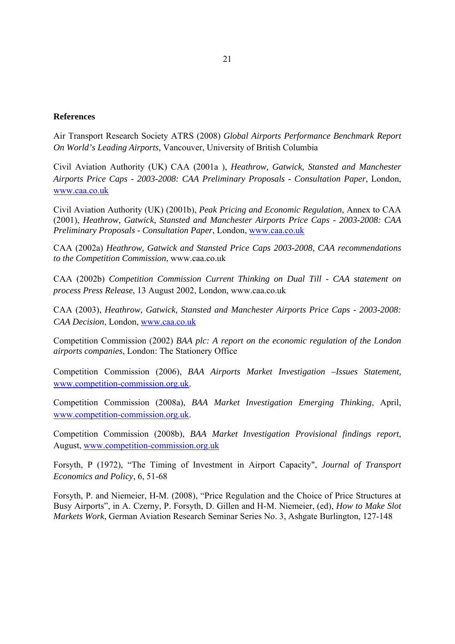#### **References**

Air Transport Research Society ATRS (2008) *Global Airports Performance Benchmark Report On World's Leading Airports,* Vancouver, University of British Columbia

Civil Aviation Authority (UK) CAA (2001a ), *Heathrow, Gatwick, Stansted and Manchester Airports Price Caps - 2003-2008: CAA Preliminary Proposals - Consultation Paper*, London, www.caa.co.uk

Civil Aviation Authority (UK) (2001b), *Peak Pricing and Economic Regulation*, Annex to CAA (2001), *Heathrow, Gatwick, Stansted and Manchester Airports Price Caps - 2003-2008: CAA Preliminary Proposals - Consultation Paper*, London, www.caa.co.uk

CAA (2002a) *Heathrow, Gatwick and Stansted Price Caps 2003-2008, CAA recommendations to the Competition Commission*, www.caa.co.uk

CAA (2002b) *Competition Commission Current Thinking on Dual Till - CAA statement on process Press Release*, 13 August 2002, London, www.caa.co.uk

CAA (2003), *Heathrow, Gatwick, Stansted and Manchester Airports Price Caps - 2003-2008: CAA Decision*, London, www.caa.co.uk

Competition Commission (2002) *BAA plc: A report on the economic regulation of the London airports companies*, London: The Stationery Office

Competition Commission (2006), *BAA Airports Market Investigation –Issues Statement,* www.competition-commission.org.uk.

Competition Commission (2008a), *BAA Market Investigation Emerging Thinking*, April, www.competition-commission.org.uk.

Competition Commission (2008b), *BAA Market Investigation Provisional findings report*, August, www.competition-commission.org.uk

Forsyth, P (1972), "The Timing of Investment in Airport Capacity", *Journal of Transport Economics and Policy*, 6, 51-68

Forsyth, P. and Niemeier, H-M. (2008), "Price Regulation and the Choice of Price Structures at Busy Airports", in A. Czerny, P. Forsyth, D. Gillen and H-M. Niemeier, (ed), *How to Make Slot Markets Work*, German Aviation Research Seminar Series No. 3, Ashgate Burlington, 127-148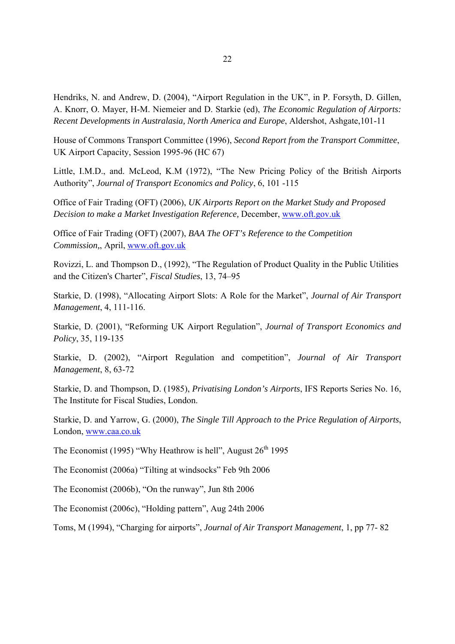Hendriks, N. and Andrew, D. (2004), "Airport Regulation in the UK", in P. Forsyth, D. Gillen, A. Knorr, O. Mayer, H-M. Niemeier and D. Starkie (ed), *The Economic Regulation of Airports: Recent Developments in Australasia, North America and Europe*, Aldershot, Ashgate,101-11

House of Commons Transport Committee (1996), *Second Report from the Transport Committee*, UK Airport Capacity, Session 1995-96 (HC 67)

Little, I.M.D., and. McLeod, K.M (1972), "The New Pricing Policy of the British Airports Authority", *Journal of Transport Economics and Policy*, 6, 101 -115

Office of Fair Trading (OFT) (2006), *UK Airports Report on the Market Study and Proposed Decision to make a Market Investigation Reference,* December, www.oft.gov.uk

Office of Fair Trading (OFT) (2007), *BAA The OFT's Reference to the Competition Commission,*, April, www.oft.gov.uk

Rovizzi, L. and Thompson D., (1992), "The Regulation of Product Quality in the Public Utilities and the Citizen's Charter", *Fiscal Studies*, 13, 74–95

Starkie, D. (1998), "Allocating Airport Slots: A Role for the Market", *Journal of Air Transport Management*, 4, 111-116.

Starkie, D. (2001), "Reforming UK Airport Regulation", *Journal of Transport Economics and Policy*, 35, 119-135

Starkie, D. (2002), "Airport Regulation and competition", *Journal of Air Transport Management*, 8, 63-72

Starkie, D. and Thompson, D. (1985), *Privatising London's Airports*, IFS Reports Series No. 16, The Institute for Fiscal Studies, London.

Starkie, D. and Yarrow, G. (2000), *The Single Till Approach to the Price Regulation of Airports*, London, www.caa.co.uk

The Economist (1995) "Why Heathrow is hell", August  $26<sup>th</sup>$  1995

The Economist (2006a) "Tilting at windsocks" Feb 9th 2006

The Economist (2006b), "On the runway", Jun 8th 2006

The Economist (2006c), "Holding pattern", Aug 24th 2006

Toms, M (1994), "Charging for airports", *Journal of Air Transport Management*, 1, pp 77- 82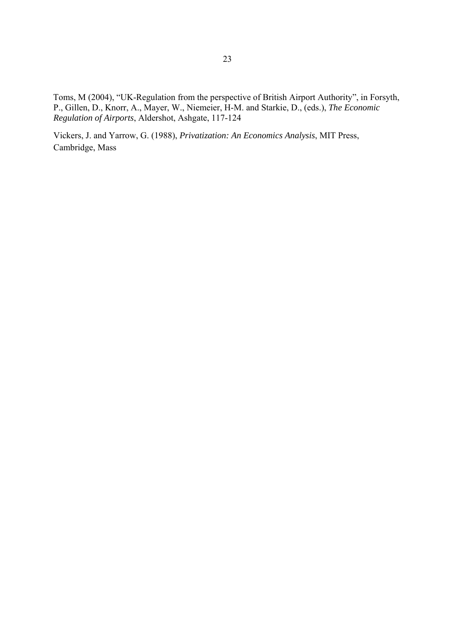Toms, M (2004), "UK-Regulation from the perspective of British Airport Authority", in Forsyth, P., Gillen, D., Knorr, A., Mayer, W., Niemeier, H-M. and Starkie, D., (eds.), *The Economic Regulation of Airports*, Aldershot, Ashgate, 117-124

Vickers, J. and Yarrow, G. (1988), *Privatization: An Economics Analysis*, MIT Press, Cambridge, Mass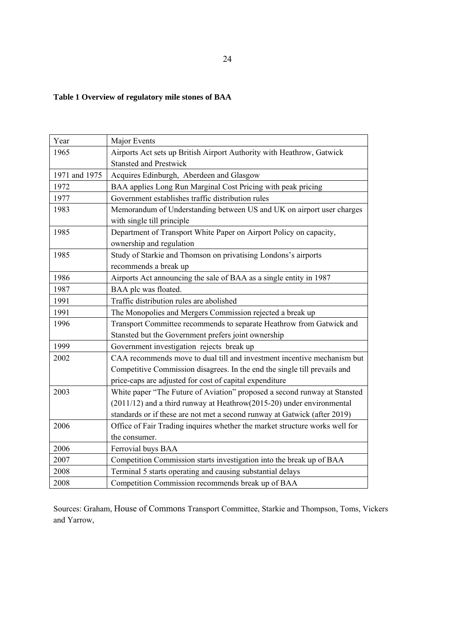# **Table 1 Overview of regulatory mile stones of BAA**

| Year          | Major Events                                                                |  |  |  |  |  |
|---------------|-----------------------------------------------------------------------------|--|--|--|--|--|
| 1965          | Airports Act sets up British Airport Authority with Heathrow, Gatwick       |  |  |  |  |  |
|               | <b>Stansted and Prestwick</b>                                               |  |  |  |  |  |
| 1971 and 1975 | Acquires Edinburgh, Aberdeen and Glasgow                                    |  |  |  |  |  |
| 1972          | BAA applies Long Run Marginal Cost Pricing with peak pricing                |  |  |  |  |  |
| 1977          | Government establishes traffic distribution rules                           |  |  |  |  |  |
| 1983          | Memorandum of Understanding between US and UK on airport user charges       |  |  |  |  |  |
|               | with single till principle                                                  |  |  |  |  |  |
| 1985          | Department of Transport White Paper on Airport Policy on capacity,          |  |  |  |  |  |
|               | ownership and regulation                                                    |  |  |  |  |  |
| 1985          | Study of Starkie and Thomson on privatising Londons's airports              |  |  |  |  |  |
|               | recommends a break up                                                       |  |  |  |  |  |
| 1986          | Airports Act announcing the sale of BAA as a single entity in 1987          |  |  |  |  |  |
| 1987          | BAA plc was floated.                                                        |  |  |  |  |  |
| 1991          | Traffic distribution rules are abolished                                    |  |  |  |  |  |
| 1991          | The Monopolies and Mergers Commission rejected a break up                   |  |  |  |  |  |
| 1996          | Transport Committee recommends to separate Heathrow from Gatwick and        |  |  |  |  |  |
|               | Stansted but the Government prefers joint ownership                         |  |  |  |  |  |
| 1999          | Government investigation rejects break up                                   |  |  |  |  |  |
| 2002          | CAA recommends move to dual till and investment incentive mechanism but     |  |  |  |  |  |
|               | Competitive Commission disagrees. In the end the single till prevails and   |  |  |  |  |  |
|               | price-caps are adjusted for cost of capital expenditure                     |  |  |  |  |  |
| 2003          | White paper "The Future of Aviation" proposed a second runway at Stansted   |  |  |  |  |  |
|               | (2011/12) and a third runway at Heathrow(2015-20) under environmental       |  |  |  |  |  |
|               | standards or if these are not met a second runway at Gatwick (after 2019)   |  |  |  |  |  |
| 2006          | Office of Fair Trading inquires whether the market structure works well for |  |  |  |  |  |
|               | the consumer.                                                               |  |  |  |  |  |
| 2006          | Ferrovial buys BAA                                                          |  |  |  |  |  |
| 2007          | Competition Commission starts investigation into the break up of BAA        |  |  |  |  |  |
| 2008          | Terminal 5 starts operating and causing substantial delays                  |  |  |  |  |  |
| 2008          | Competition Commission recommends break up of BAA                           |  |  |  |  |  |

Sources: Graham, House of Commons Transport Committee, Starkie and Thompson, Toms, Vickers and Yarrow,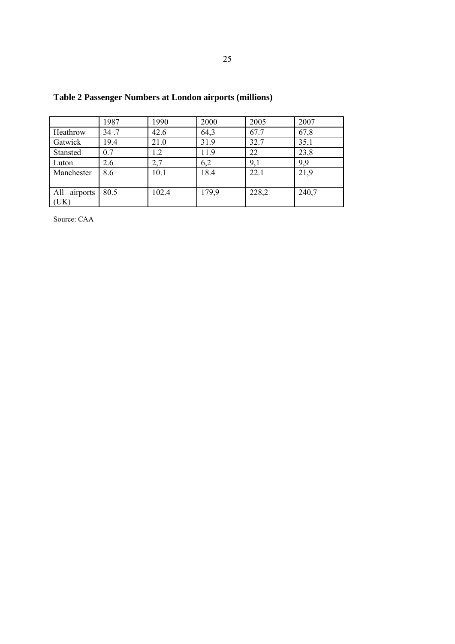|                         | 1987 | 1990           | 2000  | 2005  | 2007  |
|-------------------------|------|----------------|-------|-------|-------|
| Heathrow                | 34.7 | 42.6           | 64,3  | 67.7  | 67,8  |
| Gatwick                 | 19.4 | 21.0           | 31.9  | 32.7  | 35,1  |
| Stansted                | 0.7  | $\mathbf{1.2}$ | 11.9  | 22    | 23,8  |
| Luton                   | 2.6  | 2,7            | 6,2   | 9,1   | 9,9   |
| Manchester              | 8.6  | 10.1           | 18.4  | 22.1  | 21,9  |
| airports<br>All<br>(UK) | 80.5 | 102.4          | 179,9 | 228,2 | 240,7 |

# **Table 2 Passenger Numbers at London airports (millions)**

Source: CAA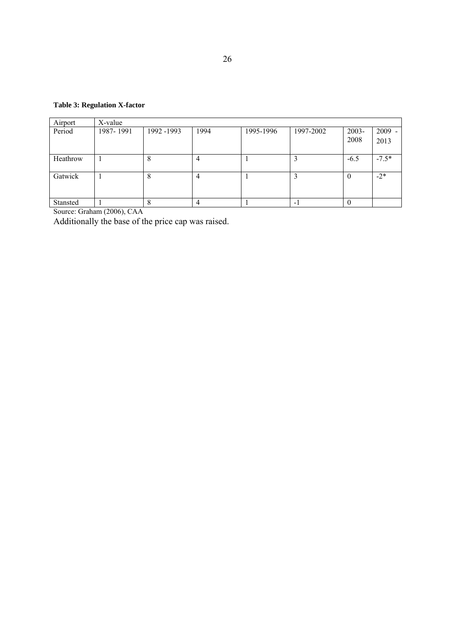# **Table 3: Regulation X-factor**

| Airport         | X-value   |            |      |           |           |               |                  |  |  |  |
|-----------------|-----------|------------|------|-----------|-----------|---------------|------------------|--|--|--|
| Period          | 1987-1991 | 1992 -1993 | 1994 | 1995-1996 | 1997-2002 | 2003-<br>2008 | $2009 -$<br>2013 |  |  |  |
| Heathrow        |           | Ω          | 4    |           |           | $-6.5$        | $-7.5*$          |  |  |  |
| Gatwick         |           | ∩          | 4    |           |           | $\theta$      | $-2*$            |  |  |  |
| <b>Stansted</b> |           |            |      |           | - 1       |               |                  |  |  |  |

Source: Graham (2006), CAA

Additionally the base of the price cap was raised.